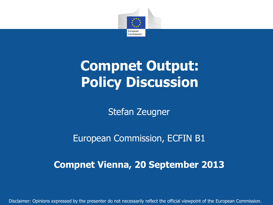

# **Compnet Output: Policy Discussion**

Stefan Zeugner

European Commission, ECFIN B1

**Compnet Vienna, 20 September 2013**

Disclaimer: Opinions expressed by the presenter do not necessarily reflect the official viewpoint of the European Commission.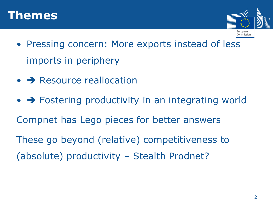



- Pressing concern: More exports instead of less imports in periphery
- $\bullet \rightarrow$  Resource reallocation
- $\bullet$   $\rightarrow$  Fostering productivity in an integrating world Compnet has Lego pieces for better answers These go beyond (relative) competitiveness to (absolute) productivity – Stealth Prodnet?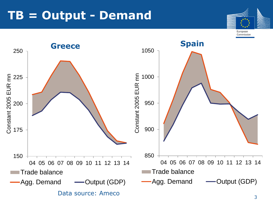#### **TB = Output - Demand**



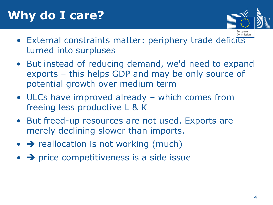## **Why do I care?**



- External constraints matter: periphery trade deficits turned into surpluses
- But instead of reducing demand, we'd need to expand exports – this helps GDP and may be only source of potential growth over medium term
- ULCs have improved already which comes from freeing less productive L & K
- But freed-up resources are not used. Exports are merely declining slower than imports.
- $\bullet \rightarrow$  reallocation is not working (much)
- $\rightarrow$  price competitiveness is a side issue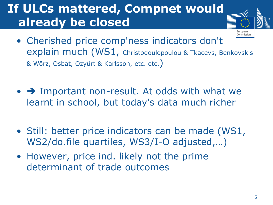#### **If ULCs mattered, Compnet would already be closed**



- Cherished price comp'ness indicators don't explain much (WS1, Christodoulopoulou & Tkacevs, Benkovskis & Wörz, Osbat, Ozyürt & Karlsson, etc. etc.)
- $\bullet$   $\rightarrow$  Important non-result. At odds with what we learnt in school, but today's data much richer
- Still: better price indicators can be made (WS1, WS2/do.file quartiles, WS3/I-O adjusted,…)
- However, price ind. likely not the prime determinant of trade outcomes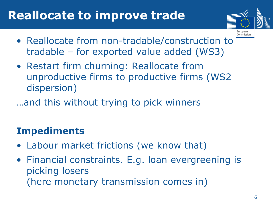#### **Reallocate to improve trade**



Commission

- Reallocate from non-tradable/construction to tradable – for exported value added (WS3)
- Restart firm churning: Reallocate from unproductive firms to productive firms (WS2 dispersion)
- …and this without trying to pick winners

#### **Impediments**

- Labour market frictions (we know that)
- Financial constraints. E.g. loan evergreening is picking losers (here monetary transmission comes in)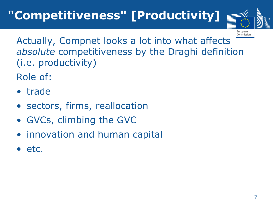

Commission

Actually, Compnet looks a lot into what affects *absolute* competitiveness by the Draghi definition (i.e. productivity)

Role of:

- trade
- sectors, firms, reallocation
- GVCs, climbing the GVC
- innovation and human capital
- etc.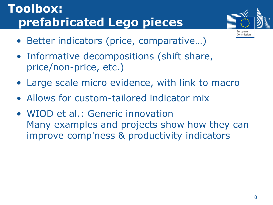## **Toolbox: prefabricated Lego pieces**



- Better indicators (price, comparative…)
- Informative decompositions (shift share, price/non-price, etc.)
- Large scale micro evidence, with link to macro
- Allows for custom-tailored indicator mix
- WIOD et al.: Generic innovation Many examples and projects show how they can improve comp'ness & productivity indicators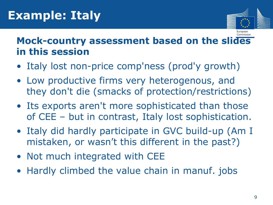

Commission

#### **Mock-country assessment based on the slides in this session**

- Italy lost non-price comp'ness (prod'y growth)
- Low productive firms very heterogenous, and they don't die (smacks of protection/restrictions)
- Its exports aren't more sophisticated than those of CEE – but in contrast, Italy lost sophistication.
- Italy did hardly participate in GVC build-up (Am I mistaken, or wasn't this different in the past?)
- Not much integrated with CEE
- Hardly climbed the value chain in manuf. jobs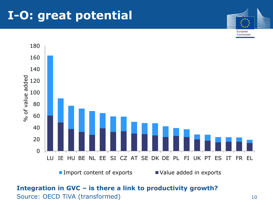#### **I-O: great potential**



Commission



■ Import content of exports ■ Value added in exports

#### **Integration in GVC – is there a link to productivity growth?**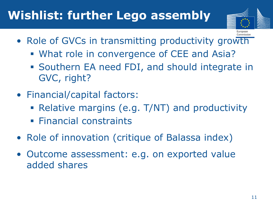## **Wishlist: further Lego assembly**



- Role of GVCs in transmitting productivity growth
	- What role in convergence of CEE and Asia?
	- Southern EA need FDI, and should integrate in GVC, right?
- Financial/capital factors:
	- Relative margins (e.g. T/NT) and productivity
	- **Financial constraints**
- Role of innovation (critique of Balassa index)
- Outcome assessment: e.g. on exported value added shares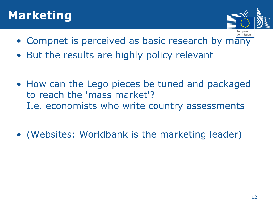#### **Marketing**



- Commission • Compnet is perceived as basic research by many
- But the results are highly policy relevant
- How can the Lego pieces be tuned and packaged to reach the 'mass market'? I.e. economists who write country assessments
- (Websites: Worldbank is the marketing leader)